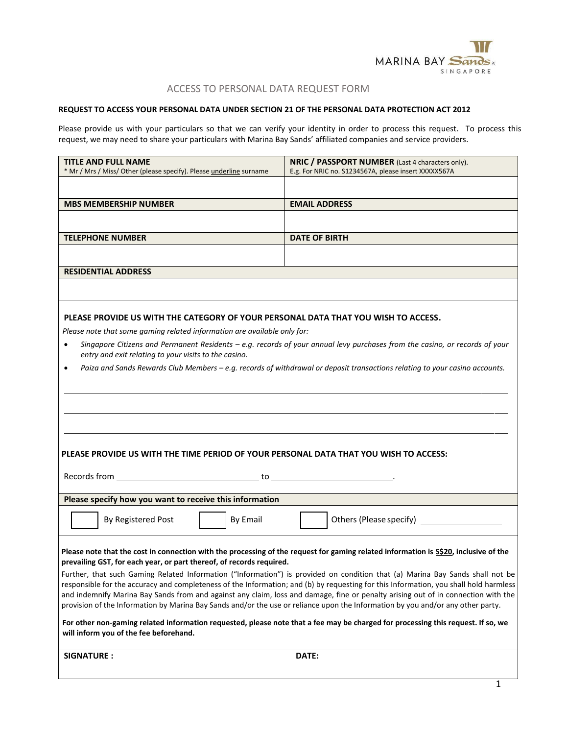

# ACCESS TO PERSONAL DATA REQUEST FORM

## **REQUEST TO ACCESS YOUR PERSONAL DATA UNDER SECTION 21 OF THE PERSONAL DATA PROTECTION ACT 2012**

Please provide us with your particulars so that we can verify your identity in order to process this request. To process this request, we may need to share your particulars with Marina Bay Sands' affiliated companies and service providers.

| <b>TITLE AND FULL NAME</b>                                                                                                                                     | NRIC / PASSPORT NUMBER (Last 4 characters only).     |  |  |  |
|----------------------------------------------------------------------------------------------------------------------------------------------------------------|------------------------------------------------------|--|--|--|
| * Mr / Mrs / Miss/ Other (please specify). Please underline surname                                                                                            | E.g. For NRIC no. S1234567A, please insert XXXXX567A |  |  |  |
|                                                                                                                                                                |                                                      |  |  |  |
| <b>MBS MEMBERSHIP NUMBER</b>                                                                                                                                   | <b>EMAIL ADDRESS</b>                                 |  |  |  |
|                                                                                                                                                                |                                                      |  |  |  |
| <b>TELEPHONE NUMBER</b>                                                                                                                                        | <b>DATE OF BIRTH</b>                                 |  |  |  |
|                                                                                                                                                                |                                                      |  |  |  |
| <b>RESIDENTIAL ADDRESS</b>                                                                                                                                     |                                                      |  |  |  |
|                                                                                                                                                                |                                                      |  |  |  |
| PLEASE PROVIDE US WITH THE CATEGORY OF YOUR PERSONAL DATA THAT YOU WISH TO ACCESS.<br>Please note that some gaming related information are available only for: |                                                      |  |  |  |

- *Singapore Citizens and Permanent Residents – e.g. records of your annual levy purchases from the casino, or records of your entry and exit relating to your visits to the casino.*
- *Paiza and Sands Rewards Club Members – e.g. records of withdrawal or deposit transactions relating to your casino accounts.*

| PLEASE PROVIDE US WITH THE TIME PERIOD OF YOUR PERSONAL DATA THAT YOU WISH TO ACCESS:                                                                                                                                                                                                                                                                                                                                                                                                                                                          |
|------------------------------------------------------------------------------------------------------------------------------------------------------------------------------------------------------------------------------------------------------------------------------------------------------------------------------------------------------------------------------------------------------------------------------------------------------------------------------------------------------------------------------------------------|
|                                                                                                                                                                                                                                                                                                                                                                                                                                                                                                                                                |
| Please specify how you want to receive this information                                                                                                                                                                                                                                                                                                                                                                                                                                                                                        |
| By Email<br>By Registered Post                                                                                                                                                                                                                                                                                                                                                                                                                                                                                                                 |
| Please note that the cost in connection with the processing of the request for gaming related information is \$\$20, inclusive of the<br>prevailing GST, for each year, or part thereof, of records required.                                                                                                                                                                                                                                                                                                                                  |
| Further, that such Gaming Related Information ("Information") is provided on condition that (a) Marina Bay Sands shall not be<br>responsible for the accuracy and completeness of the Information; and (b) by requesting for this Information, you shall hold harmless<br>and indemnify Marina Bay Sands from and against any claim, loss and damage, fine or penalty arising out of in connection with the<br>provision of the Information by Marina Bay Sands and/or the use or reliance upon the Information by you and/or any other party. |
| For other non-gaming related information requested, please note that a fee may be charged for processing this request. If so, we<br>will inform you of the fee beforehand.                                                                                                                                                                                                                                                                                                                                                                     |

**SIGNATURE : DATE:**